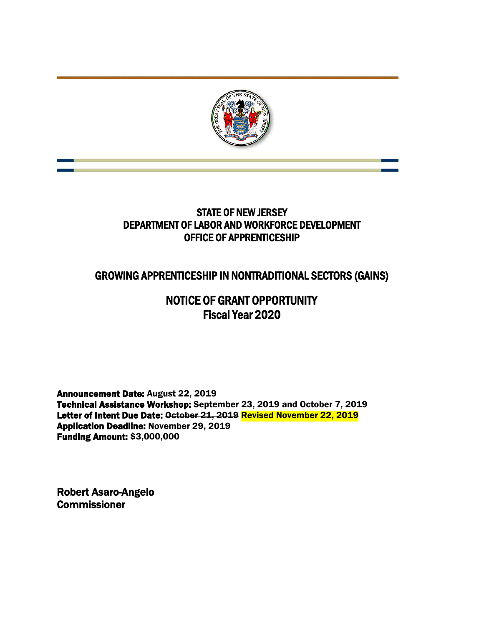

# STATE OF NEW JERSEY DEPARTMENT OF LABOR AND WORKFORCE DEVELOPMENT OFFICE OF APPRENTICESHIP

# GROWING APPRENTICESHIP IN NONTRADITIONAL SECTORS (GAINS)

# NOTICE OF GRANT OPPORTUNITY Fiscal Year 2020

Announcement Date: August 22, 2019 Technical Assistance Workshop: September 23, 2019 and October 7, 2019 Letter of Intent Due Date: October 21, 2019 Revised November 22, 2019 Application Deadline: November 29, 2019 Funding Amount: \$3,000,000

Robert Asaro-Angelo **Commissioner**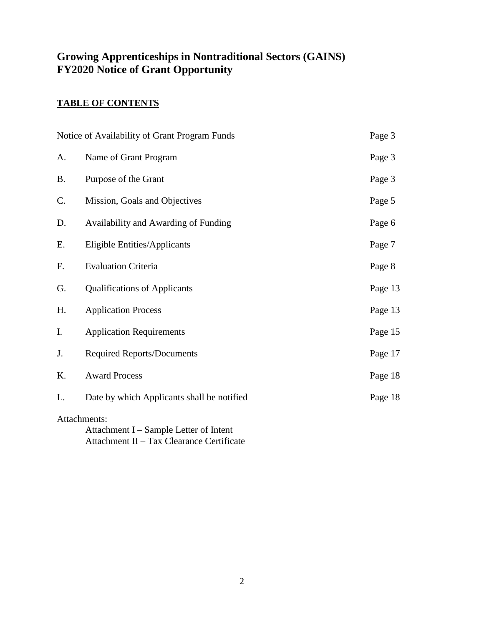# **Growing Apprenticeships in Nontraditional Sectors (GAINS) FY2020 Notice of Grant Opportunity**

## **TABLE OF CONTENTS**

| Notice of Availability of Grant Program Funds<br>Page 3 |                                            |         |  |
|---------------------------------------------------------|--------------------------------------------|---------|--|
| A.                                                      | Name of Grant Program                      | Page 3  |  |
| <b>B.</b>                                               | Purpose of the Grant                       | Page 3  |  |
| C.                                                      | Mission, Goals and Objectives              | Page 5  |  |
| D.                                                      | Availability and Awarding of Funding       | Page 6  |  |
| Е.                                                      | Eligible Entities/Applicants               | Page 7  |  |
| F.                                                      | <b>Evaluation Criteria</b>                 | Page 8  |  |
| G.                                                      | <b>Qualifications of Applicants</b>        | Page 13 |  |
| H.                                                      | <b>Application Process</b>                 | Page 13 |  |
| I.                                                      | <b>Application Requirements</b>            | Page 15 |  |
| J.                                                      | <b>Required Reports/Documents</b>          | Page 17 |  |
| K.                                                      | <b>Award Process</b>                       | Page 18 |  |
| L.                                                      | Date by which Applicants shall be notified | Page 18 |  |
| Attachments:<br>Attachment I – Sample Letter of Intent  |                                            |         |  |

Attachment II – Tax Clearance Certificate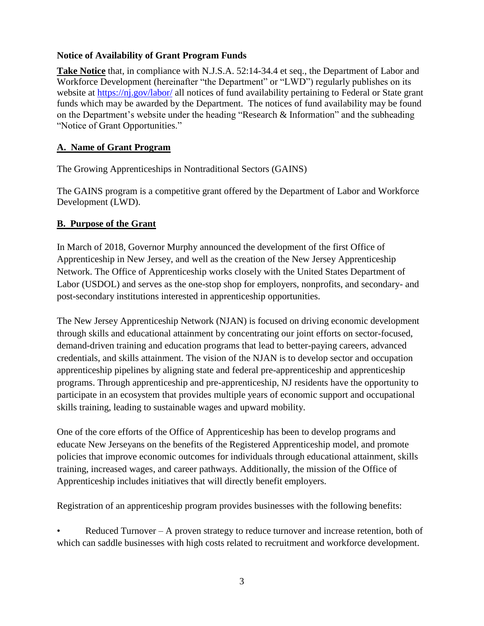### **Notice of Availability of Grant Program Funds**

**Take Notice** that, in compliance with N.J.S.A. 52:14-34.4 et seq., the Department of Labor and Workforce Development (hereinafter "the Department" or "LWD") regularly publishes on its website at<https://nj.gov/labor/> all notices of fund availability pertaining to Federal or State grant funds which may be awarded by the Department. The notices of fund availability may be found on the Department's website under the heading "Research & Information" and the subheading "Notice of Grant Opportunities."

### **A. Name of Grant Program**

The Growing Apprenticeships in Nontraditional Sectors (GAINS)

The GAINS program is a competitive grant offered by the Department of Labor and Workforce Development (LWD).

### **B. Purpose of the Grant**

In March of 2018, Governor Murphy announced the development of the first Office of Apprenticeship in New Jersey, and well as the creation of the New Jersey Apprenticeship Network. The Office of Apprenticeship works closely with the United States Department of Labor (USDOL) and serves as the one-stop shop for employers, nonprofits, and secondary- and post-secondary institutions interested in apprenticeship opportunities.

The New Jersey Apprenticeship Network (NJAN) is focused on driving economic development through skills and educational attainment by concentrating our joint efforts on sector-focused, demand-driven training and education programs that lead to better-paying careers, advanced credentials, and skills attainment. The vision of the NJAN is to develop sector and occupation apprenticeship pipelines by aligning state and federal pre-apprenticeship and apprenticeship programs. Through apprenticeship and pre-apprenticeship, NJ residents have the opportunity to participate in an ecosystem that provides multiple years of economic support and occupational skills training, leading to sustainable wages and upward mobility.

One of the core efforts of the Office of Apprenticeship has been to develop programs and educate New Jerseyans on the benefits of the Registered Apprenticeship model, and promote policies that improve economic outcomes for individuals through educational attainment, skills training, increased wages, and career pathways. Additionally, the mission of the Office of Apprenticeship includes initiatives that will directly benefit employers.

Registration of an apprenticeship program provides businesses with the following benefits:

Reduced Turnover  $- A$  proven strategy to reduce turnover and increase retention, both of which can saddle businesses with high costs related to recruitment and workforce development.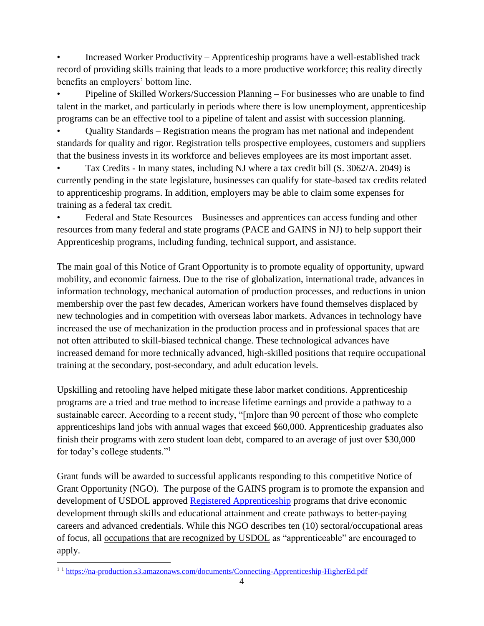• Increased Worker Productivity – Apprenticeship programs have a well-established track record of providing skills training that leads to a more productive workforce; this reality directly benefits an employers' bottom line.

• Pipeline of Skilled Workers/Succession Planning – For businesses who are unable to find talent in the market, and particularly in periods where there is low unemployment, apprenticeship programs can be an effective tool to a pipeline of talent and assist with succession planning.

• Quality Standards – Registration means the program has met national and independent standards for quality and rigor. Registration tells prospective employees, customers and suppliers that the business invests in its workforce and believes employees are its most important asset.

• Tax Credits - In many states, including NJ where a tax credit bill (S. 3062/A. 2049) is currently pending in the state legislature, businesses can qualify for state-based tax credits related to apprenticeship programs. In addition, employers may be able to claim some expenses for training as a federal tax credit.

• Federal and State Resources – Businesses and apprentices can access funding and other resources from many federal and state programs (PACE and GAINS in NJ) to help support their Apprenticeship programs, including funding, technical support, and assistance.

The main goal of this Notice of Grant Opportunity is to promote equality of opportunity, upward mobility, and economic fairness. Due to the rise of globalization, international trade, advances in information technology, mechanical automation of production processes, and reductions in union membership over the past few decades, American workers have found themselves displaced by new technologies and in competition with overseas labor markets. Advances in technology have increased the use of mechanization in the production process and in professional spaces that are not often attributed to skill-biased technical change. These technological advances have increased demand for more technically advanced, high-skilled positions that require occupational training at the secondary, post-secondary, and adult education levels.

Upskilling and retooling have helped mitigate these labor market conditions. Apprenticeship programs are a tried and true method to increase lifetime earnings and provide a pathway to a sustainable career. According to a recent study, "[m]ore than 90 percent of those who complete apprenticeships land jobs with annual wages that exceed \$60,000. Apprenticeship graduates also finish their programs with zero student loan debt, compared to an average of just over \$30,000 for today's college students."<sup>1</sup>

Grant funds will be awarded to successful applicants responding to this competitive Notice of Grant Opportunity (NGO). The purpose of the GAINS program is to promote the expansion and development of USDOL approved [Registered Apprenticeship](https://doleta.gov/oa/registration/) programs that drive economic development through skills and educational attainment and create pathways to better-paying careers and advanced credentials. While this NGO describes ten (10) sectoral/occupational areas of focus, all [occupations that are recognized by USDOL](https://www.doleta.gov/OA/bul16/Bulletin_2016-28_Attachment1.pdf) as "apprenticeable" are encouraged to apply.

 $\overline{a}$ <sup>1 1</sup> <https://na-production.s3.amazonaws.com/documents/Connecting-Apprenticeship-HigherEd.pdf>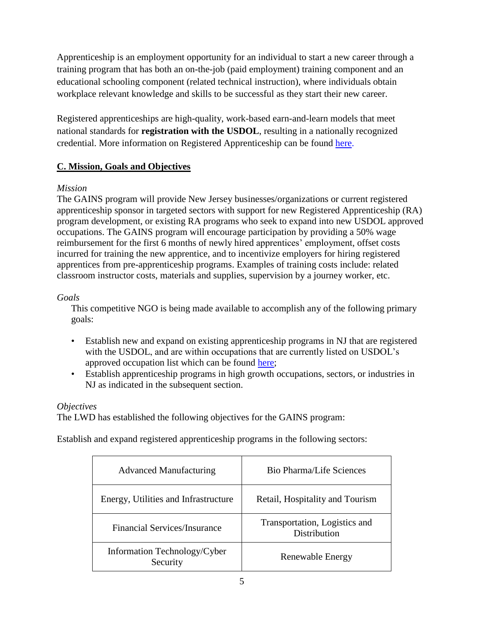Apprenticeship is an employment opportunity for an individual to start a new career through a training program that has both an on-the-job (paid employment) training component and an educational schooling component (related technical instruction), where individuals obtain workplace relevant knowledge and skills to be successful as they start their new career.

Registered apprenticeships are high-quality, work-based earn-and-learn models that meet national standards for **registration with the USDOL**, resulting in a nationally recognized credential. More information on Registered Apprenticeship can be found [here.](https://www.dol.gov/featured/apprenticeship/faqs)

### **C. Mission, Goals and Objectives**

### *Mission*

The GAINS program will provide New Jersey businesses/organizations or current registered apprenticeship sponsor in targeted sectors with support for new Registered Apprenticeship (RA) program development, or existing RA programs who seek to expand into new USDOL approved occupations. The GAINS program will encourage participation by providing a 50% wage reimbursement for the first 6 months of newly hired apprentices' employment, offset costs incurred for training the new apprentice, and to incentivize employers for hiring registered apprentices from pre-apprenticeship programs. Examples of training costs include: related classroom instructor costs, materials and supplies, supervision by a journey worker, etc.

### *Goals*

This competitive NGO is being made available to accomplish any of the following primary goals:

- Establish new and expand on existing apprenticeship programs in NJ that are registered with the USDOL, and are within occupations that are currently listed on USDOL's approved occupation list which can be found [here;](https://www.doleta.gov/OA/occupations.cfm)
- Establish apprenticeship programs in high growth occupations, sectors, or industries in NJ as indicated in the subsequent section.

### *Objectives*

The LWD has established the following objectives for the GAINS program:

Establish and expand registered apprenticeship programs in the following sectors:

| <b>Advanced Manufacturing</b>            | <b>Bio Pharma/Life Sciences</b>               |
|------------------------------------------|-----------------------------------------------|
| Energy, Utilities and Infrastructure     | Retail, Hospitality and Tourism               |
| <b>Financial Services/Insurance</b>      | Transportation, Logistics and<br>Distribution |
| Information Technology/Cyber<br>Security | Renewable Energy                              |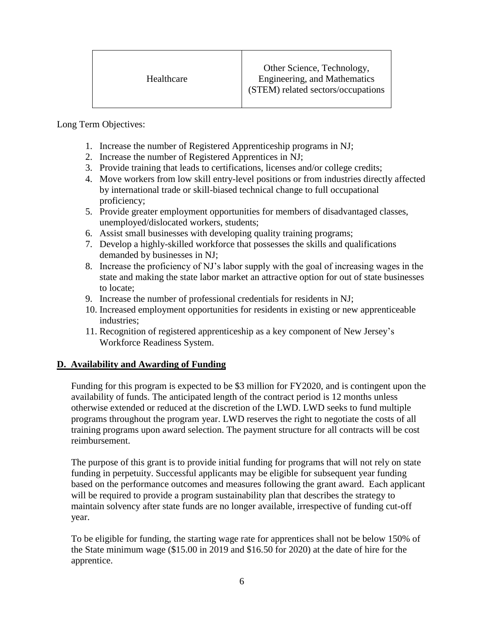Long Term Objectives:

- 1. Increase the number of Registered Apprenticeship programs in NJ;
- 2. Increase the number of Registered Apprentices in NJ;
- 3. Provide training that leads to certifications, licenses and/or college credits;
- 4. Move workers from low skill entry-level positions or from industries directly affected by international trade or skill-biased technical change to full occupational proficiency;
- 5. Provide greater employment opportunities for members of disadvantaged classes, unemployed/dislocated workers, students;
- 6. Assist small businesses with developing quality training programs;
- 7. Develop a highly-skilled workforce that possesses the skills and qualifications demanded by businesses in NJ;
- 8. Increase the proficiency of NJ's labor supply with the goal of increasing wages in the state and making the state labor market an attractive option for out of state businesses to locate;
- 9. Increase the number of professional credentials for residents in NJ;
- 10. Increased employment opportunities for residents in existing or new apprenticeable industries;
- 11. Recognition of registered apprenticeship as a key component of New Jersey's Workforce Readiness System.

### **D. Availability and Awarding of Funding**

Funding for this program is expected to be \$3 million for FY2020, and is contingent upon the availability of funds. The anticipated length of the contract period is 12 months unless otherwise extended or reduced at the discretion of the LWD. LWD seeks to fund multiple programs throughout the program year. LWD reserves the right to negotiate the costs of all training programs upon award selection. The payment structure for all contracts will be cost reimbursement.

The purpose of this grant is to provide initial funding for programs that will not rely on state funding in perpetuity. Successful applicants may be eligible for subsequent year funding based on the performance outcomes and measures following the grant award. Each applicant will be required to provide a program sustainability plan that describes the strategy to maintain solvency after state funds are no longer available, irrespective of funding cut-off year.

To be eligible for funding, the starting wage rate for apprentices shall not be below 150% of the State minimum wage (\$15.00 in 2019 and \$16.50 for 2020) at the date of hire for the apprentice.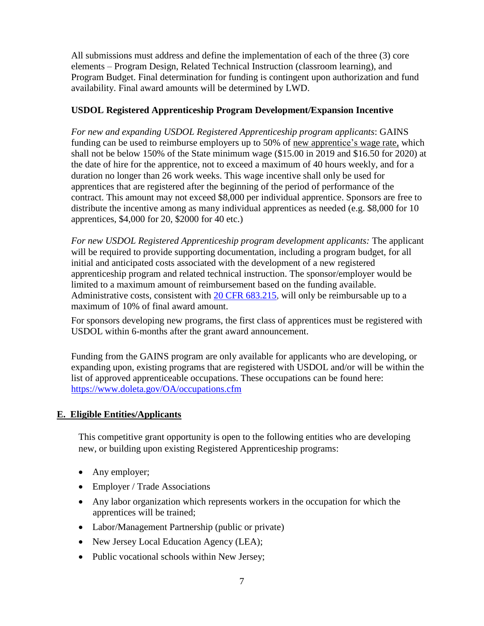All submissions must address and define the implementation of each of the three (3) core elements – Program Design, Related Technical Instruction (classroom learning), and Program Budget. Final determination for funding is contingent upon authorization and fund availability. Final award amounts will be determined by LWD.

### **USDOL Registered Apprenticeship Program Development/Expansion Incentive**

*For new and expanding USDOL Registered Apprenticeship program applicants*: GAINS funding can be used to reimburse employers up to 50% of new apprentice's wage rate, which shall not be below 150% of the State minimum wage (\$15.00 in 2019 and \$16.50 for 2020) at the date of hire for the apprentice, not to exceed a maximum of 40 hours weekly, and for a duration no longer than 26 work weeks. This wage incentive shall only be used for apprentices that are registered after the beginning of the period of performance of the contract. This amount may not exceed \$8,000 per individual apprentice. Sponsors are free to distribute the incentive among as many individual apprentices as needed (e.g. \$8,000 for 10 apprentices, \$4,000 for 20, \$2000 for 40 etc.)

*For new USDOL Registered Apprenticeship program development applicants:* The applicant will be required to provide supporting documentation, including a program budget, for all initial and anticipated costs associated with the development of a new registered apprenticeship program and related technical instruction. The sponsor/employer would be limited to a maximum amount of reimbursement based on the funding available. Administrative costs, consistent with [20 CFR 683.215,](https://www.law.cornell.edu/cfr/text/20/683.215) will only be reimbursable up to a maximum of 10% of final award amount.

For sponsors developing new programs, the first class of apprentices must be registered with USDOL within 6-months after the grant award announcement.

Funding from the GAINS program are only available for applicants who are developing, or expanding upon, existing programs that are registered with USDOL and/or will be within the list of approved apprenticeable occupations. These occupations can be found here: <https://www.doleta.gov/OA/occupations.cfm>

### **E. Eligible Entities/Applicants**

This competitive grant opportunity is open to the following entities who are developing new, or building upon existing Registered Apprenticeship programs:

- Any employer;
- Employer / Trade Associations
- Any labor organization which represents workers in the occupation for which the apprentices will be trained;
- Labor/Management Partnership (public or private)
- New Jersey Local Education Agency (LEA);
- Public vocational schools within New Jersey;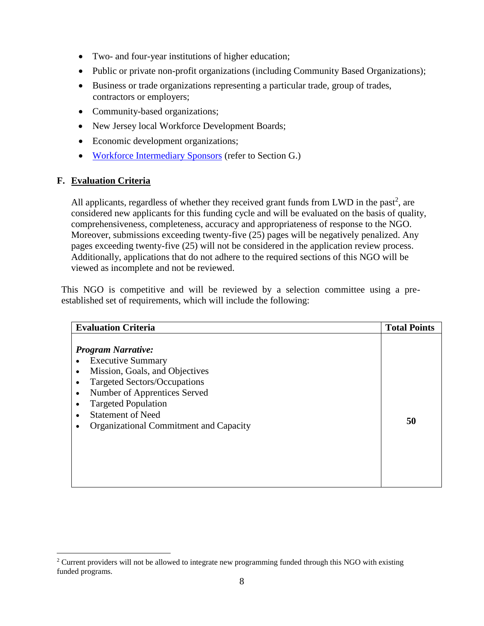- Two- and four-year institutions of higher education;
- Public or private non-profit organizations (including Community Based Organizations);
- Business or trade organizations representing a particular trade, group of trades, contractors or employers;
- Community-based organizations;
- New Jersey local Workforce Development Boards;
- Economic development organizations;
- [Workforce Intermediary Sponsors](https://www.doleta.gov/oa/bul16/Bulletin_2016-26.pdf) (refer to Section G.)

### **F. Evaluation Criteria**

 $\overline{a}$ 

All applicants, regardless of whether they received grant funds from LWD in the past<sup>2</sup>, are considered new applicants for this funding cycle and will be evaluated on the basis of quality, comprehensiveness, completeness, accuracy and appropriateness of response to the NGO. Moreover, submissions exceeding twenty-five (25) pages will be negatively penalized. Any pages exceeding twenty-five (25) will not be considered in the application review process. Additionally, applications that do not adhere to the required sections of this NGO will be viewed as incomplete and not be reviewed.

This NGO is competitive and will be reviewed by a selection committee using a preestablished set of requirements, which will include the following:

| <b>Evaluation Criteria</b>                                                                                                                                                                                                                                               | <b>Total Points</b> |
|--------------------------------------------------------------------------------------------------------------------------------------------------------------------------------------------------------------------------------------------------------------------------|---------------------|
| <b>Program Narrative:</b><br><b>Executive Summary</b><br>Mission, Goals, and Objectives<br>Targeted Sectors/Occupations<br>Number of Apprentices Served<br>$\bullet$<br><b>Targeted Population</b><br><b>Statement of Need</b><br>Organizational Commitment and Capacity | 50                  |

<sup>&</sup>lt;sup>2</sup> Current providers will not be allowed to integrate new programming funded through this NGO with existing funded programs.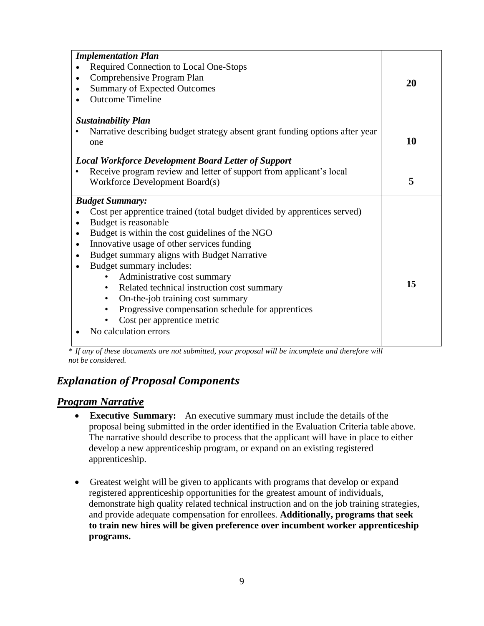| <b>Implementation Plan</b>                                                       |    |  |
|----------------------------------------------------------------------------------|----|--|
| Required Connection to Local One-Stops                                           |    |  |
| Comprehensive Program Plan                                                       |    |  |
| <b>Summary of Expected Outcomes</b><br>$\bullet$                                 | 20 |  |
| <b>Outcome Timeline</b>                                                          |    |  |
|                                                                                  |    |  |
| <b>Sustainability Plan</b>                                                       |    |  |
| Narrative describing budget strategy absent grant funding options after year     | 10 |  |
| one                                                                              |    |  |
| <b>Local Workforce Development Board Letter of Support</b>                       |    |  |
| Receive program review and letter of support from applicant's local<br>$\bullet$ |    |  |
| Workforce Development Board(s)                                                   | 5  |  |
| <b>Budget Summary:</b>                                                           |    |  |
| Cost per apprentice trained (total budget divided by apprentices served)         |    |  |
| Budget is reasonable<br>$\bullet$                                                |    |  |
| Budget is within the cost guidelines of the NGO<br>$\bullet$                     |    |  |
| Innovative usage of other services funding<br>$\bullet$                          |    |  |
| Budget summary aligns with Budget Narrative<br>$\bullet$                         |    |  |
| Budget summary includes:<br>$\bullet$                                            |    |  |
| Administrative cost summary                                                      |    |  |
| Related technical instruction cost summary<br>$\bullet$                          | 15 |  |
| On-the-job training cost summary<br>$\bullet$                                    |    |  |
| Progressive compensation schedule for apprentices<br>$\bullet$                   |    |  |
| Cost per apprentice metric                                                       |    |  |
| No calculation errors                                                            |    |  |
|                                                                                  |    |  |

*\* If any of these documents are not submitted, your proposal will be incomplete and therefore will not be considered.*

## *Explanation of Proposal Components*

### *Program Narrative*

- **Executive Summary:** An executive summary must include the details of the proposal being submitted in the order identified in the Evaluation Criteria table above. The narrative should describe to process that the applicant will have in place to either develop a new apprenticeship program, or expand on an existing registered apprenticeship.
- Greatest weight will be given to applicants with programs that develop or expand registered apprenticeship opportunities for the greatest amount of individuals, demonstrate high quality related technical instruction and on the job training strategies, and provide adequate compensation for enrollees. **Additionally, programs that seek to train new hires will be given preference over incumbent worker apprenticeship programs.**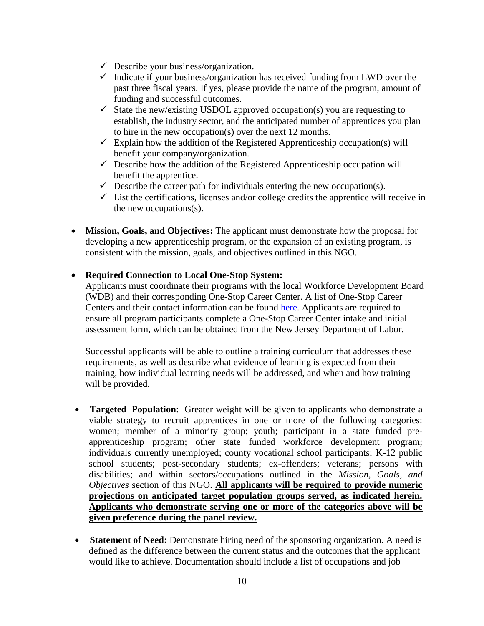- $\checkmark$  Describe your business/organization.
- $\checkmark$  Indicate if your business/organization has received funding from LWD over the past three fiscal years. If yes, please provide the name of the program, amount of funding and successful outcomes.
- $\checkmark$  State the new/existing USDOL approved occupation(s) you are requesting to establish, the industry sector, and the anticipated number of apprentices you plan to hire in the new occupation(s) over the next 12 months.
- $\checkmark$  Explain how the addition of the Registered Apprenticeship occupation(s) will benefit your company/organization.
- $\checkmark$  Describe how the addition of the Registered Apprenticeship occupation will benefit the apprentice.
- $\checkmark$  Describe the career path for individuals entering the new occupation(s).
- $\checkmark$  List the certifications, licenses and/or college credits the apprentice will receive in the new occupations(s).
- **Mission, Goals, and Objectives:** The applicant must demonstrate how the proposal for developing a new apprenticeship program, or the expansion of an existing program, is consistent with the mission, goals, and objectives outlined in this NGO.
- **Required Connection to Local One-Stop System:**

Applicants must coordinate their programs with the local Workforce Development Board (WDB) and their corresponding One-Stop Career Center. A list of One-Stop Career Centers and their contact information can be found [here.](https://careerconnections.nj.gov/careerconnections/plan/support/njccsites/one_stop_career_centers.shtml) Applicants are required to ensure all program participants complete a One-Stop Career Center intake and initial assessment form, which can be obtained from the New Jersey Department of Labor.

Successful applicants will be able to outline a training curriculum that addresses these requirements, as well as describe what evidence of learning is expected from their training, how individual learning needs will be addressed, and when and how training will be provided.

- **Targeted Population**: Greater weight will be given to applicants who demonstrate a viable strategy to recruit apprentices in one or more of the following categories: women; member of a minority group; youth; participant in a state funded preapprenticeship program; other state funded workforce development program; individuals currently unemployed; county vocational school participants; K-12 public school students; post-secondary students; ex-offenders; veterans; persons with disabilities; and within sectors/occupations outlined in the *Mission, Goals, and Objectives* section of this NGO. **All applicants will be required to provide numeric projections on anticipated target population groups served, as indicated herein. Applicants who demonstrate serving one or more of the categories above will be given preference during the panel review.**
- **Statement of Need:** Demonstrate hiring need of the sponsoring organization. A need is defined as the difference between the current status and the outcomes that the applicant would like to achieve. Documentation should include a list of occupations and job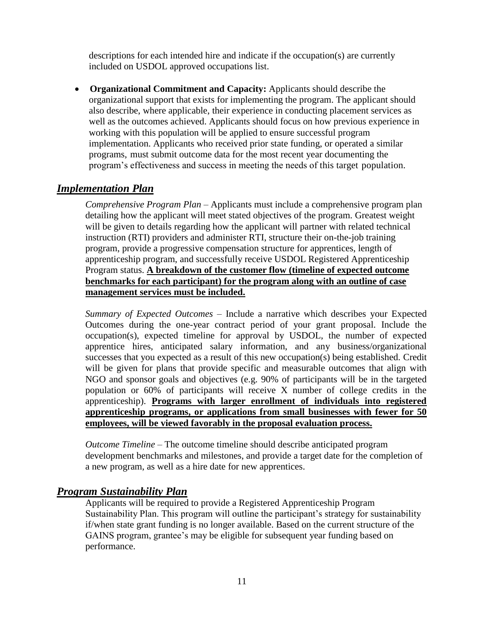descriptions for each intended hire and indicate if the occupation(s) are currently included on USDOL approved occupations list.

 **Organizational Commitment and Capacity:** Applicants should describe the organizational support that exists for implementing the program. The applicant should also describe, where applicable, their experience in conducting placement services as well as the outcomes achieved. Applicants should focus on how previous experience in working with this population will be applied to ensure successful program implementation. Applicants who received prior state funding, or operated a similar programs, must submit outcome data for the most recent year documenting the program's effectiveness and success in meeting the needs of this target population.

### *Implementation Plan*

*Comprehensive Program Plan* – Applicants must include a comprehensive program plan detailing how the applicant will meet stated objectives of the program. Greatest weight will be given to details regarding how the applicant will partner with related technical instruction (RTI) providers and administer RTI, structure their on-the-job training program, provide a progressive compensation structure for apprentices, length of apprenticeship program, and successfully receive USDOL Registered Apprenticeship Program status. **A breakdown of the customer flow (timeline of expected outcome benchmarks for each participant) for the program along with an outline of case management services must be included.**

*Summary of Expected Outcomes* – Include a narrative which describes your Expected Outcomes during the one-year contract period of your grant proposal. Include the occupation(s), expected timeline for approval by USDOL, the number of expected apprentice hires, anticipated salary information, and any business/organizational successes that you expected as a result of this new occupation(s) being established. Credit will be given for plans that provide specific and measurable outcomes that align with NGO and sponsor goals and objectives (e.g. 90% of participants will be in the targeted population or 60% of participants will receive X number of college credits in the apprenticeship). **Programs with larger enrollment of individuals into registered apprenticeship programs, or applications from small businesses with fewer for 50 employees, will be viewed favorably in the proposal evaluation process.**

*Outcome Timeline –* The outcome timeline should describe anticipated program development benchmarks and milestones, and provide a target date for the completion of a new program, as well as a hire date for new apprentices.

#### *Program Sustainability Plan*

Applicants will be required to provide a Registered Apprenticeship Program Sustainability Plan. This program will outline the participant's strategy for sustainability if/when state grant funding is no longer available. Based on the current structure of the GAINS program, grantee's may be eligible for subsequent year funding based on performance.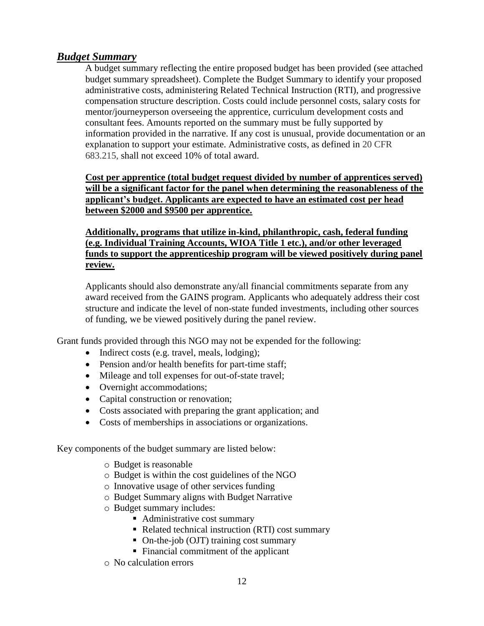### *Budget Summary*

A budget summary reflecting the entire proposed budget has been provided (see attached budget summary spreadsheet). Complete the Budget Summary to identify your proposed administrative costs, administering Related Technical Instruction (RTI), and progressive compensation structure description. Costs could include personnel costs, salary costs for mentor/journeyperson overseeing the apprentice, curriculum development costs and consultant fees. Amounts reported on the summary must be fully supported by information provided in the narrative. If any cost is unusual, provide documentation or an explanation to support your estimate. Administrative costs, as defined in 20 CFR 683.215, shall not exceed 10% of total award.

**Cost per apprentice (total budget request divided by number of apprentices served) will be a significant factor for the panel when determining the reasonableness of the applicant's budget. Applicants are expected to have an estimated cost per head between \$2000 and \$9500 per apprentice.**

**Additionally, programs that utilize in-kind, philanthropic, cash, federal funding (e.g. Individual Training Accounts, WIOA Title 1 etc.), and/or other leveraged funds to support the apprenticeship program will be viewed positively during panel review.**

Applicants should also demonstrate any/all financial commitments separate from any award received from the GAINS program. Applicants who adequately address their cost structure and indicate the level of non-state funded investments, including other sources of funding, we be viewed positively during the panel review.

Grant funds provided through this NGO may not be expended for the following:

- Indirect costs (e.g. travel, meals, lodging);
- Pension and/or health benefits for part-time staff;
- Mileage and toll expenses for out-of-state travel;
- Overnight accommodations;
- Capital construction or renovation;
- Costs associated with preparing the grant application; and
- Costs of memberships in associations or organizations.

Key components of the budget summary are listed below:

- o Budget is reasonable
- o Budget is within the cost guidelines of the NGO
- o Innovative usage of other services funding
- o Budget Summary aligns with Budget Narrative
- o Budget summary includes:
	- Administrative cost summary
	- Related technical instruction (RTI) cost summary
	- On-the-job (OJT) training cost summary
	- Financial commitment of the applicant
- o No calculation errors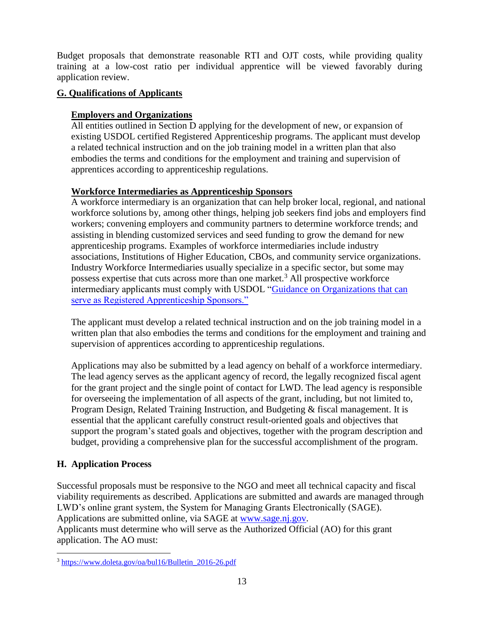Budget proposals that demonstrate reasonable RTI and OJT costs, while providing quality training at a low-cost ratio per individual apprentice will be viewed favorably during application review.

### **G. Qualifications of Applicants**

### **Employers and Organizations**

All entities outlined in Section D applying for the development of new, or expansion of existing USDOL certified Registered Apprenticeship programs. The applicant must develop a related technical instruction and on the job training model in a written plan that also embodies the terms and conditions for the employment and training and supervision of apprentices according to apprenticeship regulations.

### **Workforce Intermediaries as Apprenticeship Sponsors**

A workforce intermediary is an organization that can help broker local, regional, and national workforce solutions by, among other things, helping job seekers find jobs and employers find workers; convening employers and community partners to determine workforce trends; and assisting in blending customized services and seed funding to grow the demand for new apprenticeship programs. Examples of workforce intermediaries include industry associations, Institutions of Higher Education, CBOs, and community service organizations. Industry Workforce Intermediaries usually specialize in a specific sector, but some may possess expertise that cuts across more than one market.<sup>3</sup> All prospective workforce intermediary applicants must comply with USDOL ["Guidance on Organizations that can](https://www.doleta.gov/oa/bul16/Bulletin_2016-26.pdf)  [serve as Registered Apprenticeship Sponsors."](https://www.doleta.gov/oa/bul16/Bulletin_2016-26.pdf)

The applicant must develop a related technical instruction and on the job training model in a written plan that also embodies the terms and conditions for the employment and training and supervision of apprentices according to apprenticeship regulations.

Applications may also be submitted by a lead agency on behalf of a workforce intermediary. The lead agency serves as the applicant agency of record, the legally recognized fiscal agent for the grant project and the single point of contact for LWD. The lead agency is responsible for overseeing the implementation of all aspects of the grant, including, but not limited to, Program Design, Related Training Instruction, and Budgeting & fiscal management. It is essential that the applicant carefully construct result-oriented goals and objectives that support the program's stated goals and objectives, together with the program description and budget, providing a comprehensive plan for the successful accomplishment of the program.

### **H. Application Process**

Successful proposals must be responsive to the NGO and meet all technical capacity and fiscal viability requirements as described. Applications are submitted and awards are managed through LWD's online grant system, the System for Managing Grants Electronically (SAGE). Applications are submitted online, via SAGE at [www.sage.nj.gov.](http://www.sage.nj.gov/)

Applicants must determine who will serve as the Authorized Official (AO) for this grant application. The AO must:

 $\overline{a}$ <sup>3</sup> [https://www.doleta.gov/oa/bul16/Bulletin\\_2016-26.pdf](https://www.doleta.gov/oa/bul16/Bulletin_2016-26.pdf)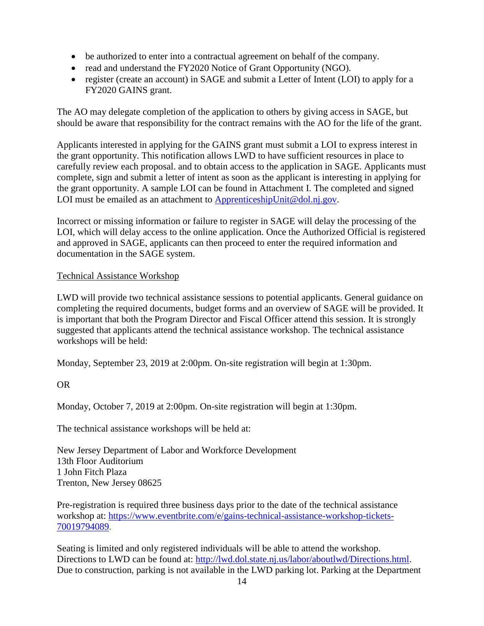- be authorized to enter into a contractual agreement on behalf of the company.
- read and understand the FY2020 Notice of Grant Opportunity (NGO).
- register (create an account) in SAGE and submit a Letter of Intent (LOI) to apply for a FY2020 GAINS grant.

The AO may delegate completion of the application to others by giving access in SAGE, but should be aware that responsibility for the contract remains with the AO for the life of the grant.

Applicants interested in applying for the GAINS grant must submit a LOI to express interest in the grant opportunity. This notification allows LWD to have sufficient resources in place to carefully review each proposal. and to obtain access to the application in SAGE. Applicants must complete, sign and submit a letter of intent as soon as the applicant is interesting in applying for the grant opportunity. A sample LOI can be found in Attachment I. The completed and signed LOI must be emailed as an attachment to [ApprenticeshipUnit@dol.nj.gov.](mailto:ApprenticeshipUnit@dol.nj.gov)

Incorrect or missing information or failure to register in SAGE will delay the processing of the LOI, which will delay access to the online application. Once the Authorized Official is registered and approved in SAGE, applicants can then proceed to enter the required information and documentation in the SAGE system.

### Technical Assistance Workshop

LWD will provide two technical assistance sessions to potential applicants. General guidance on completing the required documents, budget forms and an overview of SAGE will be provided. It is important that both the Program Director and Fiscal Officer attend this session. It is strongly suggested that applicants attend the technical assistance workshop. The technical assistance workshops will be held:

Monday, September 23, 2019 at 2:00pm. On-site registration will begin at 1:30pm.

OR

Monday, October 7, 2019 at 2:00pm. On-site registration will begin at 1:30pm.

The technical assistance workshops will be held at:

New Jersey Department of Labor and Workforce Development 13th Floor Auditorium 1 John Fitch Plaza Trenton, New Jersey 08625

Pre-registration is required three business days prior to the date of the technical assistance workshop at: [https://www.eventbrite.com/e/gains-technical-assistance-workshop-tickets-](https://www.eventbrite.com/e/gains-technical-assistance-workshop-tickets-70019794089)[70019794089.](https://www.eventbrite.com/e/gains-technical-assistance-workshop-tickets-70019794089)

Seating is limited and only registered individuals will be able to attend the workshop. Directions to LWD can be found at: [http://lwd.dol.state.nj.us/labor/aboutlwd/Directions.html.](http://lwd.dol.state.nj.us/labor/aboutlwd/Directions.html) Due to construction, parking is not available in the LWD parking lot. Parking at the Department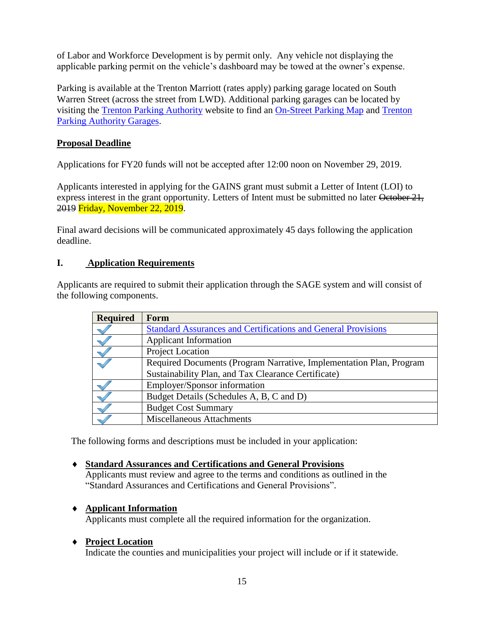of Labor and Workforce Development is by permit only. Any vehicle not displaying the applicable parking permit on the vehicle's dashboard may be towed at the owner's expense.

Parking is available at the Trenton Marriott (rates apply) parking garage located on South Warren Street (across the street from LWD). Additional parking garages can be located by visiting the [Trenton Parking Authority](https://urldefense.proofpoint.com/v2/url?u=https-3A__nam03.safelinks.protection.outlook.com_-3Furl-3Dhttp-253A-252F-252Fwww.tpanj.com-252Findex.htm-26data-3D01-257C01-257C-257C1158feab322a4a80d16108d6fbe0ac38-257C74540637643546cc87a46d38efb78538-257C0-26sdata-3DuKJ3lCFSxA3WhAiQMKjEO7UDYvmbzuV4VP4KjdMP-252FVg-253D-26reserved-3D0&d=DwMFAg&c=4BTEw-1msHjOY4ITcFLmDM6JB8x6ZgbU2J24IH0HZLU&r=B9aslKC1z4p3RExjE-Wk64Wsnm_x8QqeDGQwBiix2Zk&m=-uTUia6F59xfswyj5snynaEPfFqxI6QSdtUi7pFrYpU&s=U5nFtwtMG4mhUbX4f4s-5ThqKald4M8t6H9a9W0RZa4&e=) website to find an [On-Street Parking Map](https://urldefense.proofpoint.com/v2/url?u=https-3A__nam03.safelinks.protection.outlook.com_-3Furl-3Dhttp-253A-252F-252Fwww.tpanj.com-252F2015Docs-252FExisting-5FTrenton-252520Parking-252520Map-5FFinal.pdf-26data-3D01-257C01-257C-257C1158feab322a4a80d16108d6fbe0ac38-257C74540637643546cc87a46d38efb78538-257C0-26sdata-3Dzwcu5hnM0jh23DmfcVtQPAD8tPsFWxSDerN3-252FygcydU-253D-26reserved-3D0&d=DwMFAg&c=4BTEw-1msHjOY4ITcFLmDM6JB8x6ZgbU2J24IH0HZLU&r=B9aslKC1z4p3RExjE-Wk64Wsnm_x8QqeDGQwBiix2Zk&m=-uTUia6F59xfswyj5snynaEPfFqxI6QSdtUi7pFrYpU&s=cGuh6qnADCYRnewVdmZtPRk9_JZfc0HZ0vgHKyCnXWQ&e=) and [Trenton](https://urldefense.proofpoint.com/v2/url?u=https-3A__nam03.safelinks.protection.outlook.com_-3Furl-3Dhttp-253A-252F-252Fwww.tpanj.com-252F2012directions.htm-26data-3D01-257C01-257C-257C1158feab322a4a80d16108d6fbe0ac38-257C74540637643546cc87a46d38efb78538-257C0-26sdata-3DoB06pPfAUdGa-252BIeNctE3UNcvp5GINjvR2kVYRJQl35o-253D-26reserved-3D0&d=DwMFAg&c=4BTEw-1msHjOY4ITcFLmDM6JB8x6ZgbU2J24IH0HZLU&r=B9aslKC1z4p3RExjE-Wk64Wsnm_x8QqeDGQwBiix2Zk&m=-uTUia6F59xfswyj5snynaEPfFqxI6QSdtUi7pFrYpU&s=T5c_S_s36GDPFlSRIRmOSvWRxVcv_6phY1Qgy2dHvag&e=)  [Parking Authority Garages.](https://urldefense.proofpoint.com/v2/url?u=https-3A__nam03.safelinks.protection.outlook.com_-3Furl-3Dhttp-253A-252F-252Fwww.tpanj.com-252F2012directions.htm-26data-3D01-257C01-257C-257C1158feab322a4a80d16108d6fbe0ac38-257C74540637643546cc87a46d38efb78538-257C0-26sdata-3DoB06pPfAUdGa-252BIeNctE3UNcvp5GINjvR2kVYRJQl35o-253D-26reserved-3D0&d=DwMFAg&c=4BTEw-1msHjOY4ITcFLmDM6JB8x6ZgbU2J24IH0HZLU&r=B9aslKC1z4p3RExjE-Wk64Wsnm_x8QqeDGQwBiix2Zk&m=-uTUia6F59xfswyj5snynaEPfFqxI6QSdtUi7pFrYpU&s=T5c_S_s36GDPFlSRIRmOSvWRxVcv_6phY1Qgy2dHvag&e=)

### **Proposal Deadline**

Applications for FY20 funds will not be accepted after 12:00 noon on November 29, 2019.

Applicants interested in applying for the GAINS grant must submit a Letter of Intent (LOI) to express interest in the grant opportunity. Letters of Intent must be submitted no later October 21, 2019 Friday, November 22, 2019.

Final award decisions will be communicated approximately 45 days following the application deadline.

#### **I. Application Requirements**

Applicants are required to submit their application through the SAGE system and will consist of the following components.

| <b>Required</b> | Form                                                                 |
|-----------------|----------------------------------------------------------------------|
|                 | <b>Standard Assurances and Certifications and General Provisions</b> |
|                 | <b>Applicant Information</b>                                         |
|                 | Project Location                                                     |
|                 | Required Documents (Program Narrative, Implementation Plan, Program  |
|                 | Sustainability Plan, and Tax Clearance Certificate)                  |
|                 | Employer/Sponsor information                                         |
|                 | Budget Details (Schedules A, B, C and D)                             |
|                 | <b>Budget Cost Summary</b>                                           |
|                 | Miscellaneous Attachments                                            |

The following forms and descriptions must be included in your application:

#### **Standard Assurances and Certifications and General Provisions**

Applicants must review and agree to the terms and conditions as outlined in the "Standard Assurances and Certifications and General Provisions".

#### **Applicant Information**

Applicants must complete all the required information for the organization.

#### **Project Location**

Indicate the counties and municipalities your project will include or if it statewide.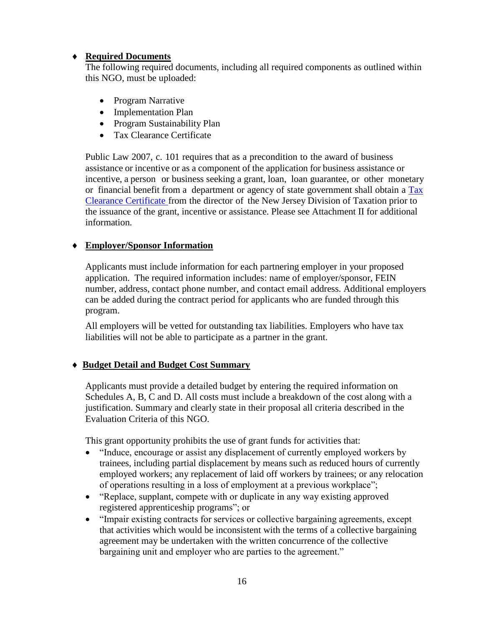### **Required Documents**

The following required documents, including all required components as outlined within this NGO, must be uploaded:

- Program Narrative
- Implementation Plan
- Program Sustainability Plan
- Tax Clearance Certificate

Public Law 2007, c. 101 requires that as a precondition to the award of business assistance or incentive or as a component of the application for business assistance or incentive, a person or business seeking a grant, loan, loan guarantee, or other monetary or financial benefit from a department or agency of state government shall obtain a [Tax](http://www.state.nj.us/treasury/taxation/busasst.shtml) Clearance [Certificate](http://www.state.nj.us/treasury/taxation/busasst.shtml) from the director of the New Jersey Division of Taxation prior to the issuance of the grant, incentive or assistance. Please see Attachment II for additional information.

### **Employer/Sponsor Information**

Applicants must include information for each partnering employer in your proposed application. The required information includes: name of employer/sponsor, FEIN number, address, contact phone number, and contact email address. Additional employers can be added during the contract period for applicants who are funded through this program.

All employers will be vetted for outstanding tax liabilities. Employers who have tax liabilities will not be able to participate as a partner in the grant.

#### **Budget Detail and Budget Cost Summary**

Applicants must provide a detailed budget by entering the required information on Schedules A, B, C and D. All costs must include a breakdown of the cost along with a justification. Summary and clearly state in their proposal all criteria described in the Evaluation Criteria of this NGO.

This grant opportunity prohibits the use of grant funds for activities that:

- "Induce, encourage or assist any displacement of currently employed workers by trainees, including partial displacement by means such as reduced hours of currently employed workers; any replacement of laid off workers by trainees; or any relocation of operations resulting in a loss of employment at a previous workplace";
- "Replace, supplant, compete with or duplicate in any way existing approved registered apprenticeship programs"; or
- "Impair existing contracts for services or collective bargaining agreements, except that activities which would be inconsistent with the terms of a collective bargaining agreement may be undertaken with the written concurrence of the collective bargaining unit and employer who are parties to the agreement."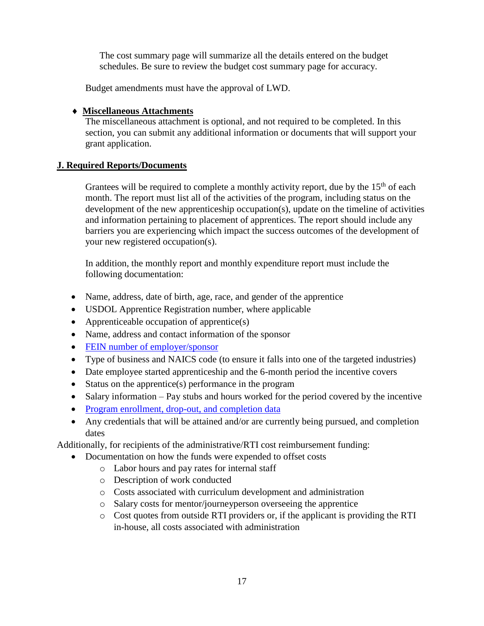The cost summary page will summarize all the details entered on the budget schedules. Be sure to review the budget cost summary page for accuracy.

Budget amendments must have the approval of LWD.

### **Miscellaneous Attachments**

The miscellaneous attachment is optional, and not required to be completed. In this section, you can submit any additional information or documents that will support your grant application.

### **J. Required Reports/Documents**

Grantees will be required to complete a monthly activity report, due by the  $15<sup>th</sup>$  of each month. The report must list all of the activities of the program, including status on the development of the new apprenticeship occupation(s), update on the timeline of activities and information pertaining to placement of apprentices. The report should include any barriers you are experiencing which impact the success outcomes of the development of your new registered occupation(s).

In addition, the monthly report and monthly expenditure report must include the following documentation:

- Name, address, date of birth, age, race, and gender of the apprentice
- USDOL Apprentice Registration number, where applicable
- Apprenticeable occupation of apprentice(s)
- Name, address and contact information of the sponsor
- [FEIN number of employer/sponsor](http://www.nj.gov/labor/forms_pdfs/Programs/NGO/FY19/III.ParticipantEnrollmentForm.xlsx)
- Type of business and NAICS code (to ensure it falls into one of the targeted industries)
- Date employee started apprenticeship and the 6-month period the incentive covers
- Status on the apprentice(s) performance in the program
- Salary information Pay stubs and hours worked for the period covered by the incentive
- [Program enrollment, drop-out, and completion data](http://www.nj.gov/labor/forms_pdfs/Programs/NGO/FY19/III.ParticipantEnrollmentForm.xlsx)
- Any credentials that will be attained and/or are currently being pursued, and completion dates

Additionally, for recipients of the administrative/RTI cost reimbursement funding:

- Documentation on how the funds were expended to offset costs
	- o Labor hours and pay rates for internal staff
	- o Description of work conducted
	- o Costs associated with curriculum development and administration
	- o Salary costs for mentor/journeyperson overseeing the apprentice
	- o Cost quotes from outside RTI providers or, if the applicant is providing the RTI in-house, all costs associated with administration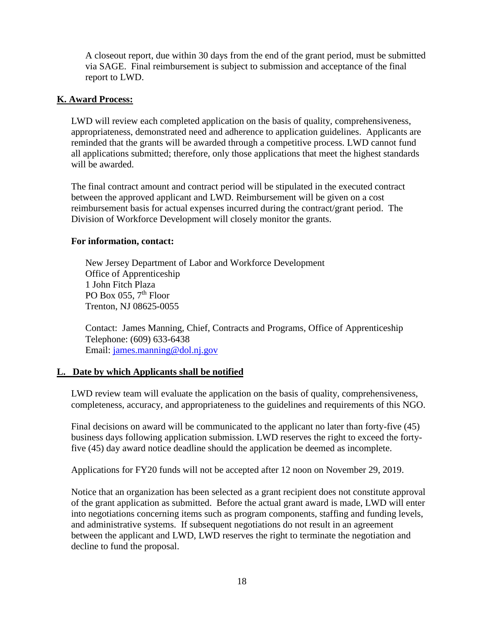A closeout report, due within 30 days from the end of the grant period, must be submitted via SAGE. Final reimbursement is subject to submission and acceptance of the final report to LWD.

### **K. Award Process:**

LWD will review each completed application on the basis of quality, comprehensiveness, appropriateness, demonstrated need and adherence to application guidelines. Applicants are reminded that the grants will be awarded through a competitive process. LWD cannot fund all applications submitted; therefore, only those applications that meet the highest standards will be awarded.

The final contract amount and contract period will be stipulated in the executed contract between the approved applicant and LWD. Reimbursement will be given on a cost reimbursement basis for actual expenses incurred during the contract/grant period. The Division of Workforce Development will closely monitor the grants.

#### **For information, contact:**

New Jersey Department of Labor and Workforce Development Office of Apprenticeship 1 John Fitch Plaza PO Box 055,  $7<sup>th</sup>$  Floor Trenton, NJ 08625-0055

 Contact: James Manning, Chief, Contracts and Programs, Office of Apprenticeship Telephone: (609) 633-6438 Email: [james.manning@dol.nj.gov](mailto:james.manning@dol.nj.gov)

#### **L. Date by which Applicants shall be notified**

LWD review team will evaluate the application on the basis of quality, comprehensiveness, completeness, accuracy, and appropriateness to the guidelines and requirements of this NGO.

Final decisions on award will be communicated to the applicant no later than forty-five (45) business days following application submission. LWD reserves the right to exceed the fortyfive (45) day award notice deadline should the application be deemed as incomplete.

Applications for FY20 funds will not be accepted after 12 noon on November 29, 2019.

Notice that an organization has been selected as a grant recipient does not constitute approval of the grant application as submitted. Before the actual grant award is made, LWD will enter into negotiations concerning items such as program components, staffing and funding levels, and administrative systems. If subsequent negotiations do not result in an agreement between the applicant and LWD, LWD reserves the right to terminate the negotiation and decline to fund the proposal.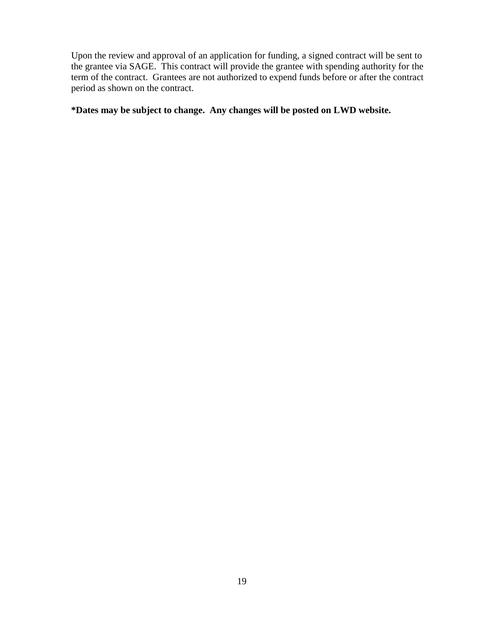Upon the review and approval of an application for funding, a signed contract will be sent to the grantee via SAGE. This contract will provide the grantee with spending authority for the term of the contract. Grantees are not authorized to expend funds before or after the contract period as shown on the contract.

**\*Dates may be subject to change. Any changes will be posted on LWD website.**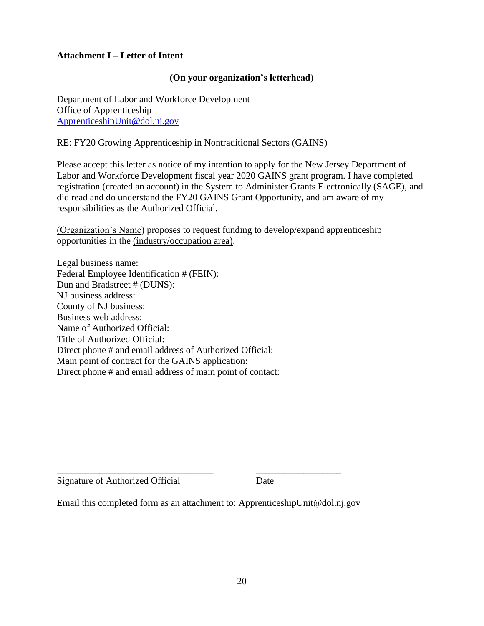### **Attachment I – Letter of Intent**

#### **(On your organization's letterhead)**

Department of Labor and Workforce Development Office of Apprenticeship [ApprenticeshipUnit@dol.nj.gov](mailto:ApprenticeshipUnit@dol.nj.gov)

RE: FY20 Growing Apprenticeship in Nontraditional Sectors (GAINS)

Please accept this letter as notice of my intention to apply for the New Jersey Department of Labor and Workforce Development fiscal year 2020 GAINS grant program. I have completed registration (created an account) in the System to Administer Grants Electronically (SAGE), and did read and do understand the FY20 GAINS Grant Opportunity, and am aware of my responsibilities as the Authorized Official.

(Organization's Name) proposes to request funding to develop/expand apprenticeship opportunities in the (industry/occupation area).

Legal business name: Federal Employee Identification # (FEIN): Dun and Bradstreet # (DUNS): NJ business address: County of NJ business: Business web address: Name of Authorized Official: Title of Authorized Official: Direct phone # and email address of Authorized Official: Main point of contract for the GAINS application: Direct phone # and email address of main point of contact:

Signature of Authorized Official Date

Email this completed form as an attachment to: ApprenticeshipUnit@dol.nj.gov

\_\_\_\_\_\_\_\_\_\_\_\_\_\_\_\_\_\_\_\_\_\_\_\_\_\_\_\_\_\_\_\_\_ \_\_\_\_\_\_\_\_\_\_\_\_\_\_\_\_\_\_